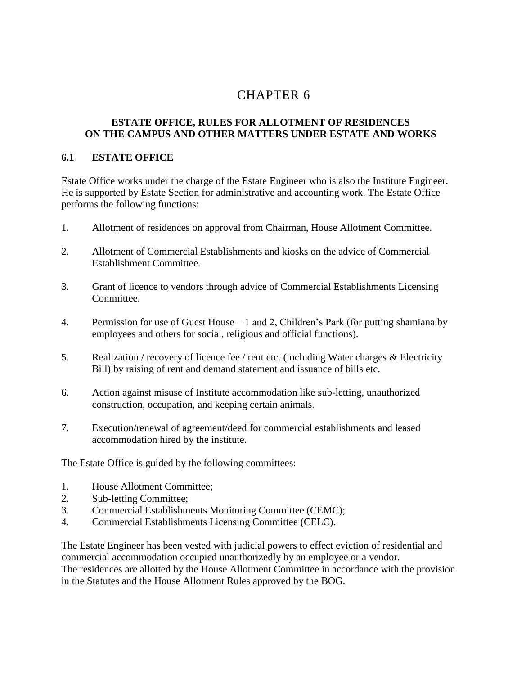# 6 CHAPTER 6

## **ESTATE OFFICE, RULES FOR ALLOTMENT OF RESIDENCES ON THE CAMPUS AND OTHER MATTERS UNDER ESTATE AND WORKS**

#### **6.1 ESTATE OFFICE**

Estate Office works under the charge of the Estate Engineer who is also the Institute Engineer. He is supported by Estate Section for administrative and accounting work. The Estate Office performs the following functions:

- 1. Allotment of residences on approval from Chairman, House Allotment Committee.
- 2. Allotment of Commercial Establishments and kiosks on the advice of Commercial Establishment Committee.
- 3. Grant of licence to vendors through advice of Commercial Establishments Licensing Committee.
- 4. Permission for use of Guest House 1 and 2, Children's Park (for putting shamiana by employees and others for social, religious and official functions).
- 5. Realization / recovery of licence fee / rent etc. (including Water charges & Electricity Bill) by raising of rent and demand statement and issuance of bills etc.
- 6. Action against misuse of Institute accommodation like sub-letting, unauthorized construction, occupation, and keeping certain animals.
- 7. Execution/renewal of agreement/deed for commercial establishments and leased accommodation hired by the institute.

The Estate Office is guided by the following committees:

- 1. House Allotment Committee;
- 2. Sub-letting Committee;
- 3. Commercial Establishments Monitoring Committee (CEMC);
- 4. Commercial Establishments Licensing Committee (CELC).

The Estate Engineer has been vested with judicial powers to effect eviction of residential and commercial accommodation occupied unauthorizedly by an employee or a vendor. The residences are allotted by the House Allotment Committee in accordance with the provision in the Statutes and the House Allotment Rules approved by the BOG.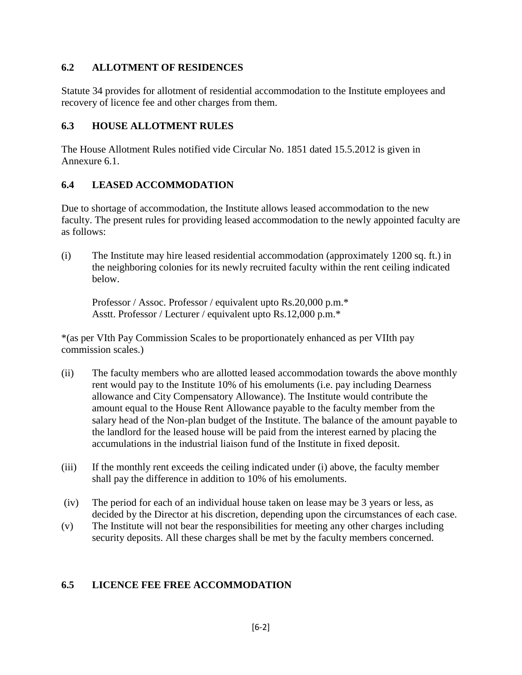# **6.2 ALLOTMENT OF RESIDENCES**

Statute 34 provides for allotment of residential accommodation to the Institute employees and recovery of licence fee and other charges from them.

# **6.3 HOUSE ALLOTMENT RULES**

The House Allotment Rules notified vide Circular No. 1851 dated 15.5.2012 is given in Annexure 6.1.

# **6.4 LEASED ACCOMMODATION**

Due to shortage of accommodation, the Institute allows leased accommodation to the new faculty. The present rules for providing leased accommodation to the newly appointed faculty are as follows:

(i) The Institute may hire leased residential accommodation (approximately 1200 sq. ft.) in the neighboring colonies for its newly recruited faculty within the rent ceiling indicated below.

Professor / Assoc. Professor / equivalent upto Rs.20,000 p.m.\* Asstt. Professor / Lecturer / equivalent upto Rs.12,000 p.m.\*

\*(as per VIth Pay Commission Scales to be proportionately enhanced as per VIIth pay commission scales.)

- (ii) The faculty members who are allotted leased accommodation towards the above monthly rent would pay to the Institute 10% of his emoluments (i.e. pay including Dearness allowance and City Compensatory Allowance). The Institute would contribute the amount equal to the House Rent Allowance payable to the faculty member from the salary head of the Non-plan budget of the Institute. The balance of the amount payable to the landlord for the leased house will be paid from the interest earned by placing the accumulations in the industrial liaison fund of the Institute in fixed deposit.
- (iii) If the monthly rent exceeds the ceiling indicated under (i) above, the faculty member shall pay the difference in addition to 10% of his emoluments.
- (iv) The period for each of an individual house taken on lease may be 3 years or less, as decided by the Director at his discretion, depending upon the circumstances of each case.
- (v) The Institute will not bear the responsibilities for meeting any other charges including security deposits. All these charges shall be met by the faculty members concerned.

# **6.5 LICENCE FEE FREE ACCOMMODATION**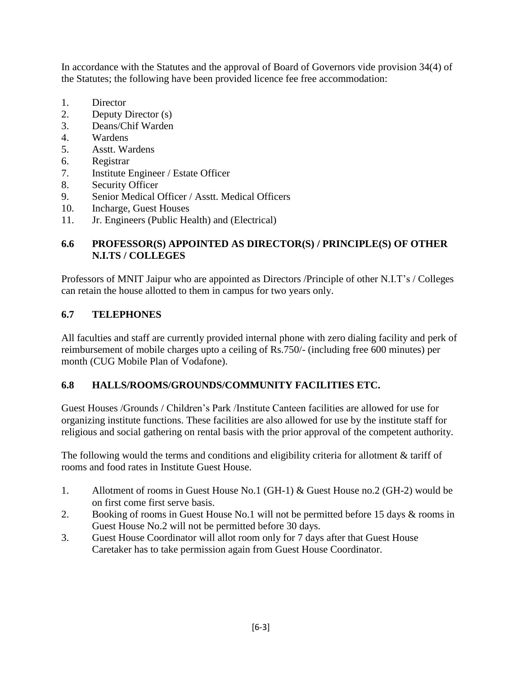In accordance with the Statutes and the approval of Board of Governors vide provision 34(4) of the Statutes; the following have been provided licence fee free accommodation:

- 1. Director
- 2. Deputy Director (s)
- 3. Deans/Chif Warden
- 4. Wardens
- 5. Asstt. Wardens
- 6. Registrar
- 7. Institute Engineer / Estate Officer
- 8. Security Officer
- 9. Senior Medical Officer / Asstt. Medical Officers
- 10. Incharge, Guest Houses
- 11. Jr. Engineers (Public Health) and (Electrical)

# **6.6 PROFESSOR(S) APPOINTED AS DIRECTOR(S) / PRINCIPLE(S) OF OTHER N.I.TS / COLLEGES**

Professors of MNIT Jaipur who are appointed as Directors /Principle of other N.I.T's / Colleges can retain the house allotted to them in campus for two years only.

# **6.7 TELEPHONES**

All faculties and staff are currently provided internal phone with zero dialing facility and perk of reimbursement of mobile charges upto a ceiling of Rs.750/- (including free 600 minutes) per month (CUG Mobile Plan of Vodafone).

# **6.8 HALLS/ROOMS/GROUNDS/COMMUNITY FACILITIES ETC.**

Guest Houses /Grounds / Children's Park /Institute Canteen facilities are allowed for use for organizing institute functions. These facilities are also allowed for use by the institute staff for religious and social gathering on rental basis with the prior approval of the competent authority.

The following would the terms and conditions and eligibility criteria for allotment & tariff of rooms and food rates in Institute Guest House.

- 1. Allotment of rooms in Guest House No.1 (GH-1) & Guest House no.2 (GH-2) would be on first come first serve basis.
- 2. Booking of rooms in Guest House No.1 will not be permitted before 15 days & rooms in Guest House No.2 will not be permitted before 30 days.
- 3. Guest House Coordinator will allot room only for 7 days after that Guest House Caretaker has to take permission again from Guest House Coordinator.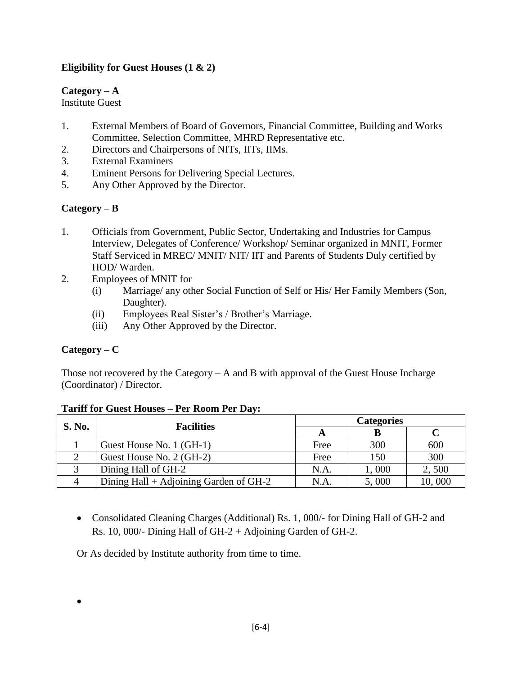# **Eligibility for Guest Houses (1 & 2)**

# **Category – A**

Institute Guest

- 1. External Members of Board of Governors, Financial Committee, Building and Works Committee, Selection Committee, MHRD Representative etc.
- 2. Directors and Chairpersons of NITs, IITs, IIMs.
- 3. External Examiners
- 4. Eminent Persons for Delivering Special Lectures.
- 5. Any Other Approved by the Director.

# **Category – B**

- 1. Officials from Government, Public Sector, Undertaking and Industries for Campus Interview, Delegates of Conference/ Workshop/ Seminar organized in MNIT, Former Staff Serviced in MREC/ MNIT/ NIT/ IIT and Parents of Students Duly certified by HOD/ Warden.
- 2. Employees of MNIT for
	- (i) Marriage/ any other Social Function of Self or His/ Her Family Members (Son, Daughter).
	- (ii) Employees Real Sister's / Brother's Marriage.
	- (iii) Any Other Approved by the Director.

# **Category – C**

 $\bullet$ 

Those not recovered by the Category  $-A$  and B with approval of the Guest House Incharge (Coordinator) / Director.

| <b>S. No.</b> | <b>Facilities</b>                        | <b>Categories</b> |       |        |  |
|---------------|------------------------------------------|-------------------|-------|--------|--|
|               |                                          |                   |       |        |  |
|               | Guest House No. 1 (GH-1)                 | Free              | 300   | 600    |  |
|               | Guest House No. 2 (GH-2)                 | Free              | 150   | 300    |  |
|               | Dining Hall of GH-2                      | N.A.              | 1,000 | 2,500  |  |
|               | Dining Hall $+$ Adjoining Garden of GH-2 | N.A.              | 5,000 | 10,000 |  |

#### **Tariff for Guest Houses – Per Room Per Day:**

 Consolidated Cleaning Charges (Additional) Rs. 1, 000/- for Dining Hall of GH-2 and Rs. 10, 000/- Dining Hall of GH-2 + Adjoining Garden of GH-2.

Or As decided by Institute authority from time to time.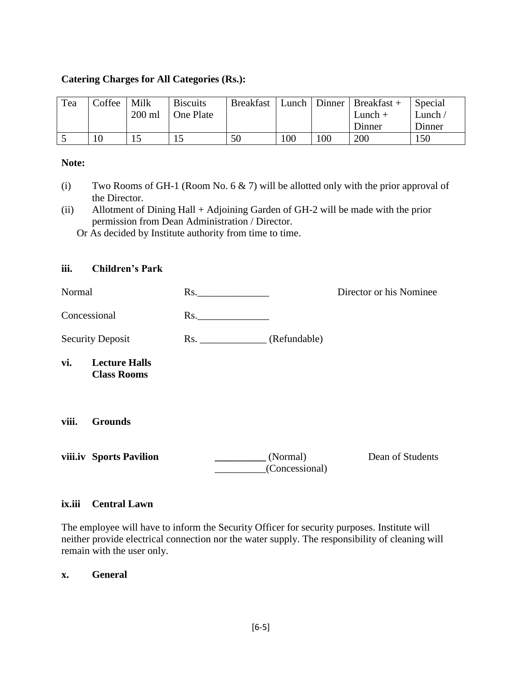### **Catering Charges for All Categories (Rs.):**

| Tea | Coffee | Milk     | <b>Biscuits</b> | <b>Breakfast</b> |     |     | Lunch   Dinner   Breakfast + | Special |
|-----|--------|----------|-----------------|------------------|-----|-----|------------------------------|---------|
|     |        | $200$ ml | One Plate       |                  |     |     | $Lunch +$                    | Lunch / |
|     |        |          |                 |                  |     |     | Dinner                       | Dinner  |
|     |        |          | 15              | 50               | 100 | 100 | 200                          | 150     |

#### **Note:**

- (i) Two Rooms of GH-1 (Room No. 6  $\&$  7) will be allotted only with the prior approval of the Director.
- (ii) Allotment of Dining Hall + Adjoining Garden of GH-2 will be made with the prior permission from Dean Administration / Director.

Or As decided by Institute authority from time to time.

### **iii. Children's Park**

| Normal                  |                                            | Rs. |                            | Director or his Nominee |
|-------------------------|--------------------------------------------|-----|----------------------------|-------------------------|
| Concessional            |                                            | Rs. |                            |                         |
| <b>Security Deposit</b> |                                            | Rs. | (Refundable)               |                         |
| vi.                     | <b>Lecture Halls</b><br><b>Class Rooms</b> |     |                            |                         |
| viii.                   | <b>Grounds</b>                             |     |                            |                         |
|                         | viii.iv Sports Pavilion                    |     | (Normal)<br>(Concessional) | Dean of Students        |

#### **ix.iii Central Lawn**

The employee will have to inform the Security Officer for security purposes. Institute will neither provide electrical connection nor the water supply. The responsibility of cleaning will remain with the user only.

#### **x. General**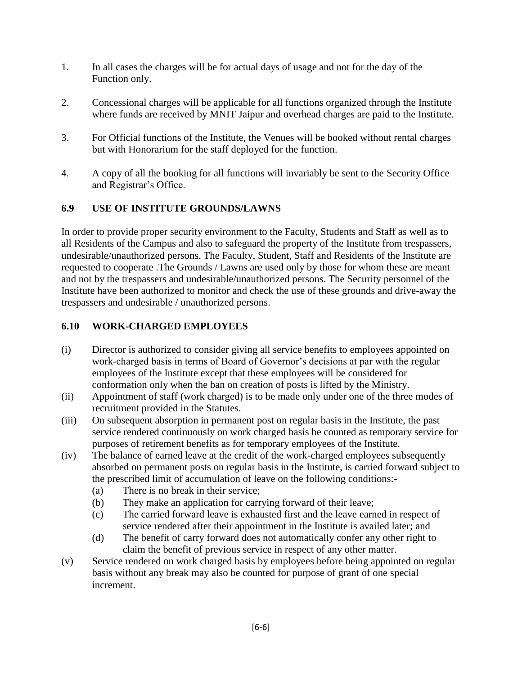- 1. In all cases the charges will be for actual days of usage and not for the day of the Function only.
- 2. Concessional charges will be applicable for all functions organized through the Institute where funds are received by MNIT Jaipur and overhead charges are paid to the Institute.
- 3. For Official functions of the Institute, the Venues will be booked without rental charges but with Honorarium for the staff deployed for the function.
- 4. A copy of all the booking for all functions will invariably be sent to the Security Office and Registrar's Office.

# **6.9 USE OF INSTITUTE GROUNDS/LAWNS**

In order to provide proper security environment to the Faculty, Students and Staff as well as to all Residents of the Campus and also to safeguard the property of the Institute from trespassers, undesirable/unauthorized persons. The Faculty, Student, Staff and Residents of the Institute are requested to cooperate .The Grounds / Lawns are used only by those for whom these are meant and not by the trespassers and undesirable/unauthorized persons. The Security personnel of the Institute have been authorized to monitor and check the use of these grounds and drive-away the trespassers and undesirable / unauthorized persons.

# **6.10 WORK-CHARGED EMPLOYEES**

- (i) Director is authorized to consider giving all service benefits to employees appointed on work-charged basis in terms of Board of Governor's decisions at par with the regular employees of the Institute except that these employees will be considered for conformation only when the ban on creation of posts is lifted by the Ministry.
- (ii) Appointment of staff (work charged) is to be made only under one of the three modes of recruitment provided in the Statutes.
- (iii) On subsequent absorption in permanent post on regular basis in the Institute, the past service rendered continuously on work charged basis be counted as temporary service for purposes of retirement benefits as for temporary employees of the Institute.
- (iv) The balance of earned leave at the credit of the work-charged employees subsequently absorbed on permanent posts on regular basis in the Institute, is carried forward subject to the prescribed limit of accumulation of leave on the following conditions:-
	- (a) There is no break in their service;
	- (b) They make an application for carrying forward of their leave;
	- (c) The carried forward leave is exhausted first and the leave earned in respect of service rendered after their appointment in the Institute is availed later; and
	- (d) The benefit of carry forward does not automatically confer any other right to claim the benefit of previous service in respect of any other matter.
- (v) Service rendered on work charged basis by employees before being appointed on regular basis without any break may also be counted for purpose of grant of one special increment.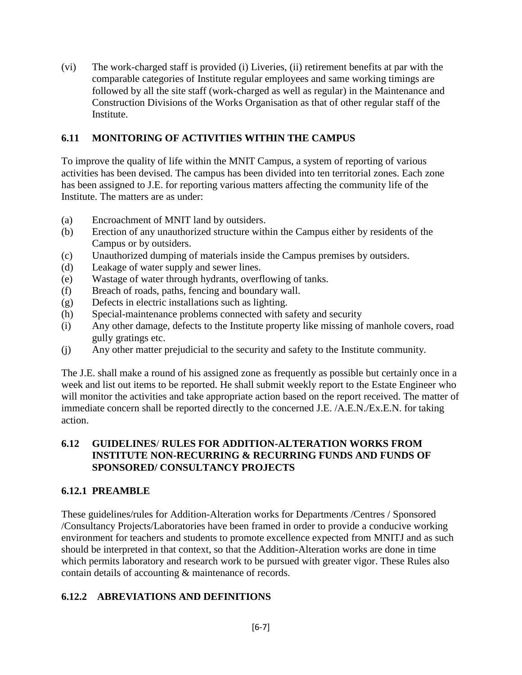(vi) The work-charged staff is provided (i) Liveries, (ii) retirement benefits at par with the comparable categories of Institute regular employees and same working timings are followed by all the site staff (work-charged as well as regular) in the Maintenance and Construction Divisions of the Works Organisation as that of other regular staff of the Institute.

# **6.11 MONITORING OF ACTIVITIES WITHIN THE CAMPUS**

To improve the quality of life within the MNIT Campus, a system of reporting of various activities has been devised. The campus has been divided into ten territorial zones. Each zone has been assigned to J.E. for reporting various matters affecting the community life of the Institute. The matters are as under:

- (a) Encroachment of MNIT land by outsiders.
- (b) Erection of any unauthorized structure within the Campus either by residents of the Campus or by outsiders.
- (c) Unauthorized dumping of materials inside the Campus premises by outsiders.
- (d) Leakage of water supply and sewer lines.
- (e) Wastage of water through hydrants, overflowing of tanks.
- (f) Breach of roads, paths, fencing and boundary wall.
- (g) Defects in electric installations such as lighting.
- (h) Special-maintenance problems connected with safety and security
- (i) Any other damage, defects to the Institute property like missing of manhole covers, road gully gratings etc.
- (j) Any other matter prejudicial to the security and safety to the Institute community.

The J.E. shall make a round of his assigned zone as frequently as possible but certainly once in a week and list out items to be reported. He shall submit weekly report to the Estate Engineer who will monitor the activities and take appropriate action based on the report received. The matter of immediate concern shall be reported directly to the concerned J.E. /A.E.N./Ex.E.N. for taking action.

# **6.12 GUIDELINES**/ **RULES FOR ADDITION-ALTERATION WORKS FROM INSTITUTE NON-RECURRING & RECURRING FUNDS AND FUNDS OF SPONSORED/ CONSULTANCY PROJECTS**

# **6.12.1 PREAMBLE**

These guidelines/rules for Addition-Alteration works for Departments /Centres / Sponsored /Consultancy Projects/Laboratories have been framed in order to provide a conducive working environment for teachers and students to promote excellence expected from MNITJ and as such should be interpreted in that context, so that the Addition-Alteration works are done in time which permits laboratory and research work to be pursued with greater vigor. These Rules also contain details of accounting & maintenance of records.

# **6.12.2 ABREVIATIONS AND DEFINITIONS**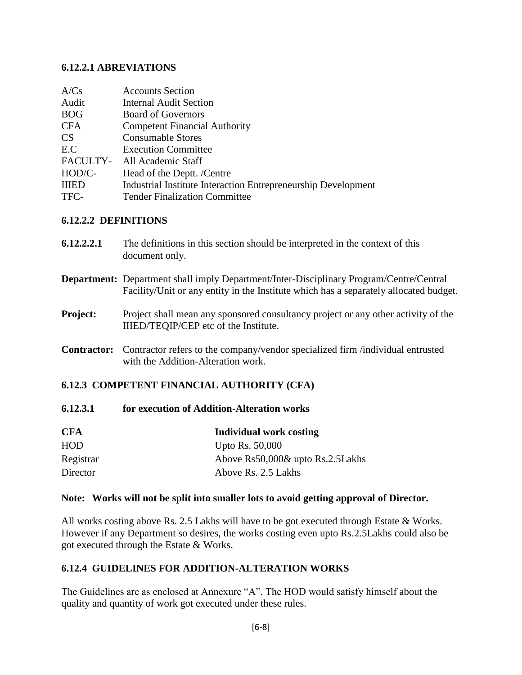# **6.12.2.1 ABREVIATIONS**

| A/Cs         | <b>Accounts Section</b>                                       |
|--------------|---------------------------------------------------------------|
| Audit        | <b>Internal Audit Section</b>                                 |
| <b>BOG</b>   | <b>Board of Governors</b>                                     |
| <b>CFA</b>   | <b>Competent Financial Authority</b>                          |
| <b>CS</b>    | <b>Consumable Stores</b>                                      |
| E.C          | <b>Execution Committee</b>                                    |
| FACULTY-     | All Academic Staff                                            |
| HOD/C-       | Head of the Deptt. /Centre                                    |
| <b>IIIED</b> | Industrial Institute Interaction Entrepreneurship Development |
| TFC-         | <b>Tender Finalization Committee</b>                          |

# **6.12.2.2 DEFINITIONS**

| 6.12.2.2.1         | The definitions in this section should be interpreted in the context of this<br>document only.                                                                                          |
|--------------------|-----------------------------------------------------------------------------------------------------------------------------------------------------------------------------------------|
|                    | <b>Department:</b> Department shall imply Department/Inter-Disciplinary Program/Centre/Central<br>Facility/Unit or any entity in the Institute which has a separately allocated budget. |
| <b>Project:</b>    | Project shall mean any sponsored consultancy project or any other activity of the<br>IIIED/TEQIP/CEP etc of the Institute.                                                              |
| <b>Contractor:</b> | Contractor refers to the company/vendor specialized firm /individual entrusted<br>with the Addition-Alteration work.                                                                    |
|                    | <b>6.12.3 COMPETENT FINANCIAL AUTHORITY (CFA)</b>                                                                                                                                       |

# **6.12.3.1 for execution of Addition-Alteration works**

| <b>CFA</b> | Individual work costing          |
|------------|----------------------------------|
| <b>HOD</b> | Upto Rs. 50,000                  |
| Registrar  | Above Rs50,000& upto Rs.2.5Lakhs |
| Director   | Above Rs. 2.5 Lakhs              |

# **Note: Works will not be split into smaller lots to avoid getting approval of Director.**

All works costing above Rs. 2.5 Lakhs will have to be got executed through Estate & Works. However if any Department so desires, the works costing even upto Rs.2.5Lakhs could also be got executed through the Estate & Works.

# **6.12.4 GUIDELINES FOR ADDITION-ALTERATION WORKS**

The Guidelines are as enclosed at Annexure "A". The HOD would satisfy himself about the quality and quantity of work got executed under these rules.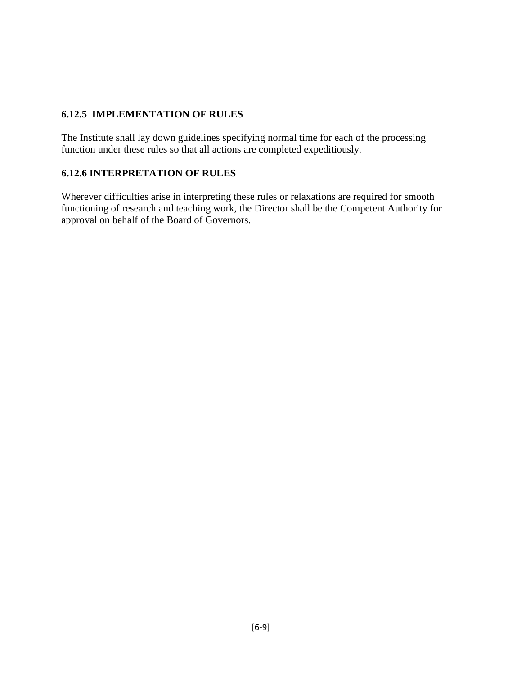# **6.12.5 IMPLEMENTATION OF RULES**

The Institute shall lay down guidelines specifying normal time for each of the processing function under these rules so that all actions are completed expeditiously.

# **6.12.6 INTERPRETATION OF RULES**

Wherever difficulties arise in interpreting these rules or relaxations are required for smooth functioning of research and teaching work, the Director shall be the Competent Authority for approval on behalf of the Board of Governors.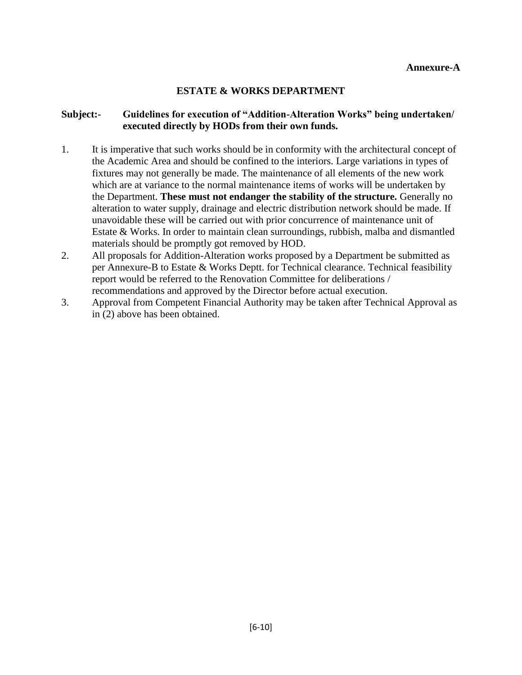# **ESTATE & WORKS DEPARTMENT**

# **Subject:- Guidelines for execution of "Addition-Alteration Works" being undertaken/ executed directly by HODs from their own funds.**

- 1. It is imperative that such works should be in conformity with the architectural concept of the Academic Area and should be confined to the interiors. Large variations in types of fixtures may not generally be made. The maintenance of all elements of the new work which are at variance to the normal maintenance items of works will be undertaken by the Department. **These must not endanger the stability of the structure.** Generally no alteration to water supply, drainage and electric distribution network should be made. If unavoidable these will be carried out with prior concurrence of maintenance unit of Estate & Works. In order to maintain clean surroundings, rubbish, malba and dismantled materials should be promptly got removed by HOD.
- 2. All proposals for Addition-Alteration works proposed by a Department be submitted as per Annexure-B to Estate & Works Deptt. for Technical clearance. Technical feasibility report would be referred to the Renovation Committee for deliberations / recommendations and approved by the Director before actual execution.
- 3. Approval from Competent Financial Authority may be taken after Technical Approval as in (2) above has been obtained.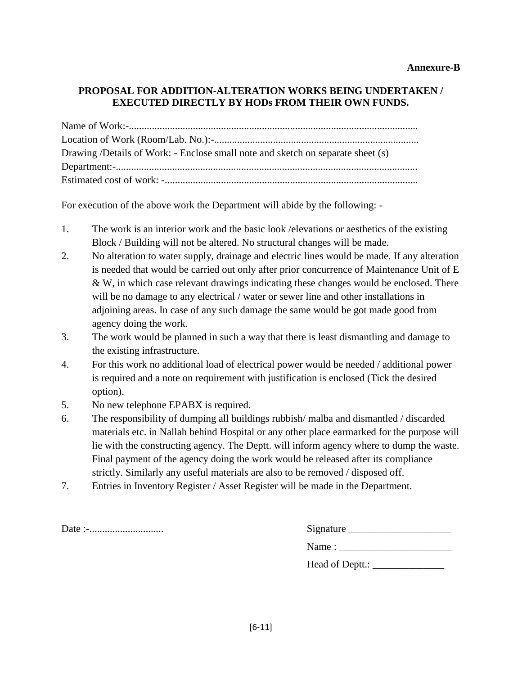# **PROPOSAL FOR ADDITION-ALTERATION WORKS BEING UNDERTAKEN / EXECUTED DIRECTLY BY HODs FROM THEIR OWN FUNDS.**

| Drawing /Details of Work: - Enclose small note and sketch on separate sheet (s) |
|---------------------------------------------------------------------------------|
|                                                                                 |
|                                                                                 |

For execution of the above work the Department will abide by the following: -

- 1. The work is an interior work and the basic look /elevations or aesthetics of the existing Block / Building will not be altered. No structural changes will be made.
- 2. No alteration to water supply, drainage and electric lines would be made. If any alteration is needed that would be carried out only after prior concurrence of Maintenance Unit of E & W, in which case relevant drawings indicating these changes would be enclosed. There will be no damage to any electrical / water or sewer line and other installations in adjoining areas. In case of any such damage the same would be got made good from agency doing the work.
- 3. The work would be planned in such a way that there is least dismantling and damage to the existing infrastructure.
- 4. For this work no additional load of electrical power would be needed / additional power is required and a note on requirement with justification is enclosed (Tick the desired option).
- 5. No new telephone EPABX is required.
- 6. The responsibility of dumping all buildings rubbish/ malba and dismantled / discarded materials etc. in Nallah behind Hospital or any other place earmarked for the purpose will lie with the constructing agency. The Deptt. will inform agency where to dump the waste. Final payment of the agency doing the work would be released after its compliance strictly. Similarly any useful materials are also to be removed / disposed off.
- 7. Entries in Inventory Register / Asset Register will be made in the Department.

|--|--|

| Date :- | Signature       |
|---------|-----------------|
|         | Name:           |
|         | Head of Deptt.: |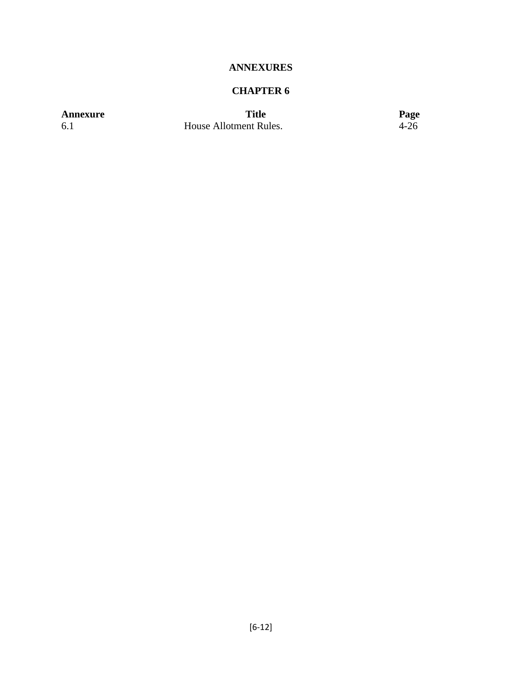# **ANNEXURES**

# **CHAPTER 6**

**Annexure Title Page 19.1 Page**<br> **Annexure** House Allotment Rules. 4-26 House Allotment Rules.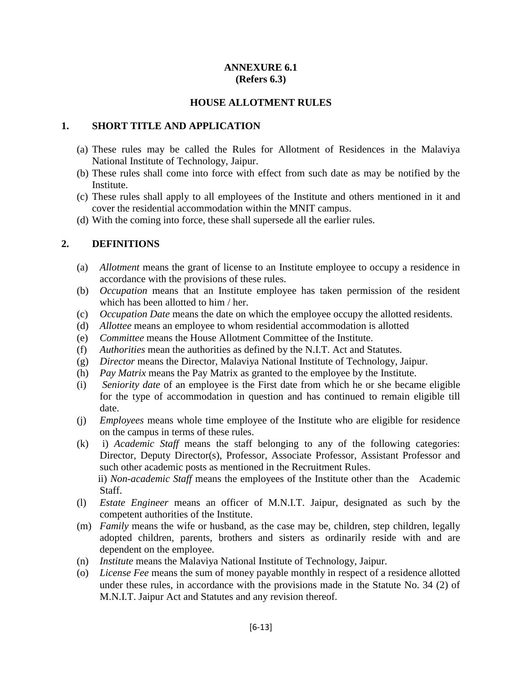#### **ANNEXURE 6.1 (Refers 6.3)**

#### **HOUSE ALLOTMENT RULES**

#### **1. SHORT TITLE AND APPLICATION**

- (a) These rules may be called the Rules for Allotment of Residences in the Malaviya National Institute of Technology, Jaipur.
- (b) These rules shall come into force with effect from such date as may be notified by the **Institute**
- (c) These rules shall apply to all employees of the Institute and others mentioned in it and cover the residential accommodation within the MNIT campus.
- (d) With the coming into force, these shall supersede all the earlier rules.

### **2. DEFINITIONS**

- (a) *Allotment* means the grant of license to an Institute employee to occupy a residence in accordance with the provisions of these rules.
- (b) *Occupation* means that an Institute employee has taken permission of the resident which has been allotted to him / her.
- (c) *Occupation Date* means the date on which the employee occupy the allotted residents.
- (d) *Allottee* means an employee to whom residential accommodation is allotted
- (e) *Committee* means the House Allotment Committee of the Institute.
- (f) *Authorities* mean the authorities as defined by the N.I.T. Act and Statutes.
- (g) *Director* means the Director, Malaviya National Institute of Technology, Jaipur.
- (h) *Pay Matrix* means the Pay Matrix as granted to the employee by the Institute.
- (i) *Seniority date* of an employee is the First date from which he or she became eligible for the type of accommodation in question and has continued to remain eligible till date.
- (j) *Employees* means whole time employee of the Institute who are eligible for residence on the campus in terms of these rules.
- (k) i) *Academic Staff* means the staff belonging to any of the following categories: Director, Deputy Director(s), Professor, Associate Professor, Assistant Professor and such other academic posts as mentioned in the Recruitment Rules.

 ii) *Non-academic Staff* means the employees of the Institute other than the Academic Staff.

- (l) *Estate Engineer* means an officer of M.N.I.T. Jaipur, designated as such by the competent authorities of the Institute.
- (m) *Family* means the wife or husband, as the case may be, children, step children, legally adopted children, parents, brothers and sisters as ordinarily reside with and are dependent on the employee.
- (n) *Institute* means the Malaviya National Institute of Technology, Jaipur.
- (o) *License Fee* means the sum of money payable monthly in respect of a residence allotted under these rules, in accordance with the provisions made in the Statute No. 34 (2) of M.N.I.T. Jaipur Act and Statutes and any revision thereof.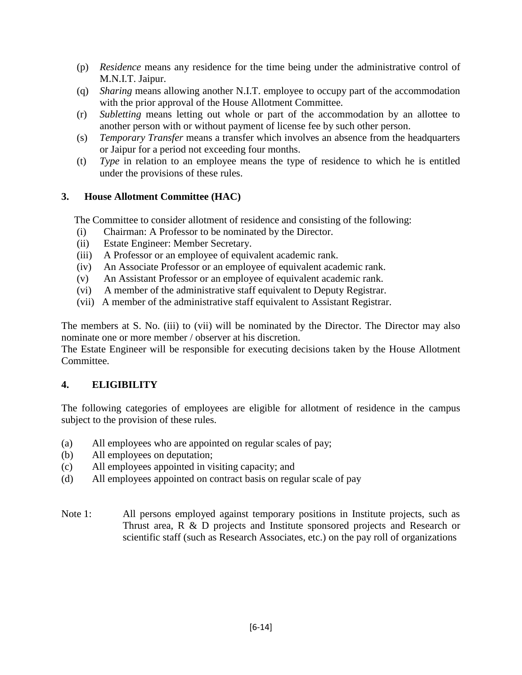- (p) *Residence* means any residence for the time being under the administrative control of M.N.I.T. Jaipur.
- (q) *Sharing* means allowing another N.I.T. employee to occupy part of the accommodation with the prior approval of the House Allotment Committee.
- (r) *Subletting* means letting out whole or part of the accommodation by an allottee to another person with or without payment of license fee by such other person.
- (s) *Temporary Transfer* means a transfer which involves an absence from the headquarters or Jaipur for a period not exceeding four months.
- (t) *Type* in relation to an employee means the type of residence to which he is entitled under the provisions of these rules.

# **3. House Allotment Committee (HAC)**

The Committee to consider allotment of residence and consisting of the following:

- (i) Chairman: A Professor to be nominated by the Director.
- (ii) Estate Engineer: Member Secretary.
- (iii) A Professor or an employee of equivalent academic rank.
- (iv) An Associate Professor or an employee of equivalent academic rank.
- (v) An Assistant Professor or an employee of equivalent academic rank.
- (vi) A member of the administrative staff equivalent to Deputy Registrar.
- (vii) A member of the administrative staff equivalent to Assistant Registrar.

The members at S. No. (iii) to (vii) will be nominated by the Director. The Director may also nominate one or more member / observer at his discretion.

The Estate Engineer will be responsible for executing decisions taken by the House Allotment Committee.

# **4. ELIGIBILITY**

The following categories of employees are eligible for allotment of residence in the campus subject to the provision of these rules.

- (a) All employees who are appointed on regular scales of pay;
- (b) All employees on deputation;
- (c) All employees appointed in visiting capacity; and
- (d) All employees appointed on contract basis on regular scale of pay
- Note 1: All persons employed against temporary positions in Institute projects, such as Thrust area, R & D projects and Institute sponsored projects and Research or scientific staff (such as Research Associates, etc.) on the pay roll of organizations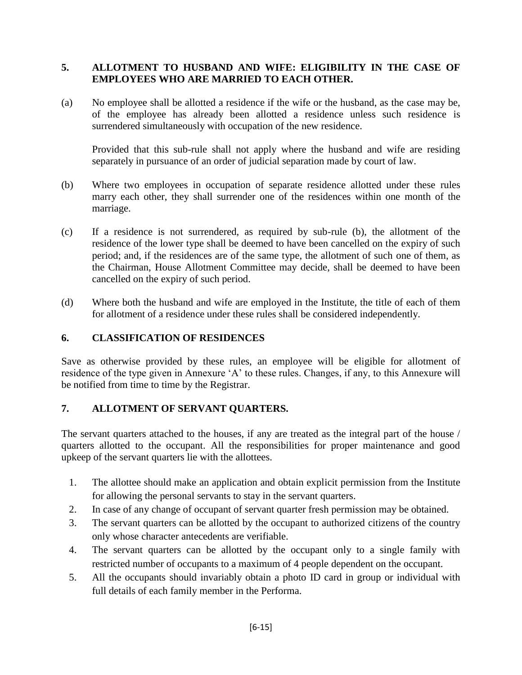# **5. ALLOTMENT TO HUSBAND AND WIFE: ELIGIBILITY IN THE CASE OF EMPLOYEES WHO ARE MARRIED TO EACH OTHER.**

(a) No employee shall be allotted a residence if the wife or the husband, as the case may be, of the employee has already been allotted a residence unless such residence is surrendered simultaneously with occupation of the new residence.

Provided that this sub-rule shall not apply where the husband and wife are residing separately in pursuance of an order of judicial separation made by court of law.

- (b) Where two employees in occupation of separate residence allotted under these rules marry each other, they shall surrender one of the residences within one month of the marriage.
- (c) If a residence is not surrendered, as required by sub-rule (b), the allotment of the residence of the lower type shall be deemed to have been cancelled on the expiry of such period; and, if the residences are of the same type, the allotment of such one of them, as the Chairman, House Allotment Committee may decide, shall be deemed to have been cancelled on the expiry of such period.
- (d) Where both the husband and wife are employed in the Institute, the title of each of them for allotment of a residence under these rules shall be considered independently.

# **6. CLASSIFICATION OF RESIDENCES**

Save as otherwise provided by these rules, an employee will be eligible for allotment of residence of the type given in Annexure 'A' to these rules. Changes, if any, to this Annexure will be notified from time to time by the Registrar.

# **7. ALLOTMENT OF SERVANT QUARTERS.**

The servant quarters attached to the houses, if any are treated as the integral part of the house / quarters allotted to the occupant. All the responsibilities for proper maintenance and good upkeep of the servant quarters lie with the allottees.

- 1. The allottee should make an application and obtain explicit permission from the Institute for allowing the personal servants to stay in the servant quarters.
- 2. In case of any change of occupant of servant quarter fresh permission may be obtained.
- 3. The servant quarters can be allotted by the occupant to authorized citizens of the country only whose character antecedents are verifiable.
- 4. The servant quarters can be allotted by the occupant only to a single family with restricted number of occupants to a maximum of 4 people dependent on the occupant.
- 5. All the occupants should invariably obtain a photo ID card in group or individual with full details of each family member in the Performa.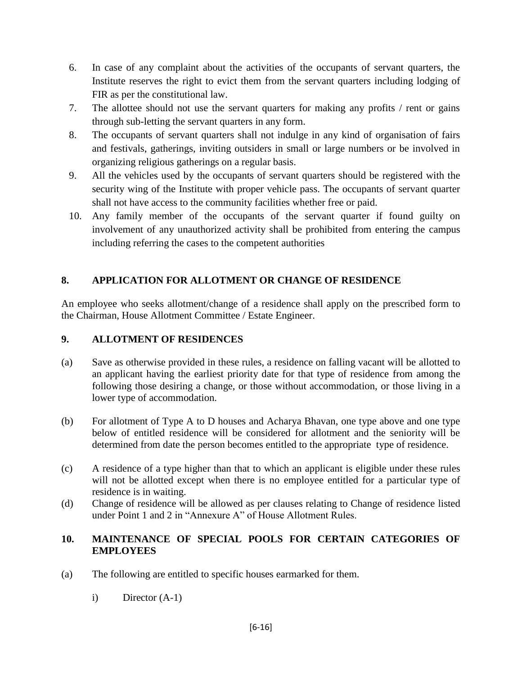- 6. In case of any complaint about the activities of the occupants of servant quarters, the Institute reserves the right to evict them from the servant quarters including lodging of FIR as per the constitutional law.
- 7. The allottee should not use the servant quarters for making any profits / rent or gains through sub-letting the servant quarters in any form.
- 8. The occupants of servant quarters shall not indulge in any kind of organisation of fairs and festivals, gatherings, inviting outsiders in small or large numbers or be involved in organizing religious gatherings on a regular basis.
- 9. All the vehicles used by the occupants of servant quarters should be registered with the security wing of the Institute with proper vehicle pass. The occupants of servant quarter shall not have access to the community facilities whether free or paid.
- 10. Any family member of the occupants of the servant quarter if found guilty on involvement of any unauthorized activity shall be prohibited from entering the campus including referring the cases to the competent authorities

# **8. APPLICATION FOR ALLOTMENT OR CHANGE OF RESIDENCE**

An employee who seeks allotment/change of a residence shall apply on the prescribed form to the Chairman, House Allotment Committee / Estate Engineer.

# **9. ALLOTMENT OF RESIDENCES**

- (a) Save as otherwise provided in these rules, a residence on falling vacant will be allotted to an applicant having the earliest priority date for that type of residence from among the following those desiring a change, or those without accommodation, or those living in a lower type of accommodation.
- (b) For allotment of Type A to D houses and Acharya Bhavan, one type above and one type below of entitled residence will be considered for allotment and the seniority will be determined from date the person becomes entitled to the appropriate type of residence.
- (c) A residence of a type higher than that to which an applicant is eligible under these rules will not be allotted except when there is no employee entitled for a particular type of residence is in waiting.
- (d) Change of residence will be allowed as per clauses relating to Change of residence listed under Point 1 and 2 in "Annexure A" of House Allotment Rules.

# **10. MAINTENANCE OF SPECIAL POOLS FOR CERTAIN CATEGORIES OF EMPLOYEES**

- (a) The following are entitled to specific houses earmarked for them.
	- i) Director (A-1)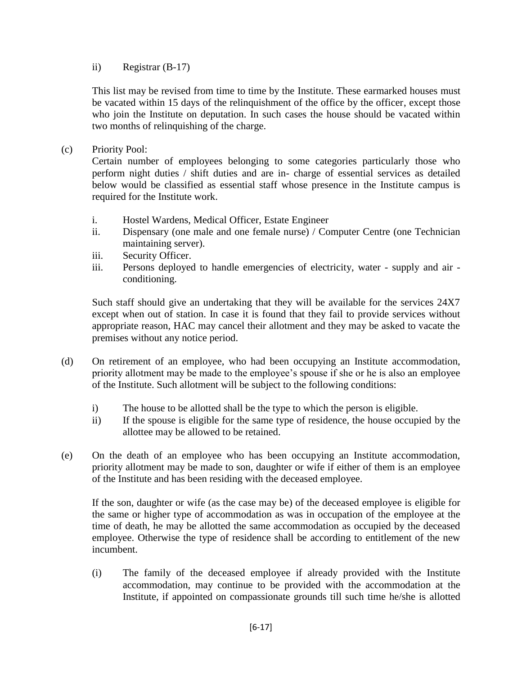ii) Registrar (B-17)

This list may be revised from time to time by the Institute. These earmarked houses must be vacated within 15 days of the relinquishment of the office by the officer, except those who join the Institute on deputation. In such cases the house should be vacated within two months of relinquishing of the charge.

(c) Priority Pool:

Certain number of employees belonging to some categories particularly those who perform night duties / shift duties and are in- charge of essential services as detailed below would be classified as essential staff whose presence in the Institute campus is required for the Institute work.

- i. Hostel Wardens, Medical Officer, Estate Engineer
- ii. Dispensary (one male and one female nurse) / Computer Centre (one Technician maintaining server).
- iii. Security Officer.
- iii. Persons deployed to handle emergencies of electricity, water supply and air conditioning.

Such staff should give an undertaking that they will be available for the services 24X7 except when out of station. In case it is found that they fail to provide services without appropriate reason, HAC may cancel their allotment and they may be asked to vacate the premises without any notice period.

- (d) On retirement of an employee, who had been occupying an Institute accommodation, priority allotment may be made to the employee's spouse if she or he is also an employee of the Institute. Such allotment will be subject to the following conditions:
	- i) The house to be allotted shall be the type to which the person is eligible.
	- ii) If the spouse is eligible for the same type of residence, the house occupied by the allottee may be allowed to be retained.
- (e) On the death of an employee who has been occupying an Institute accommodation, priority allotment may be made to son, daughter or wife if either of them is an employee of the Institute and has been residing with the deceased employee.

If the son, daughter or wife (as the case may be) of the deceased employee is eligible for the same or higher type of accommodation as was in occupation of the employee at the time of death, he may be allotted the same accommodation as occupied by the deceased employee. Otherwise the type of residence shall be according to entitlement of the new incumbent.

(i) The family of the deceased employee if already provided with the Institute accommodation, may continue to be provided with the accommodation at the Institute, if appointed on compassionate grounds till such time he/she is allotted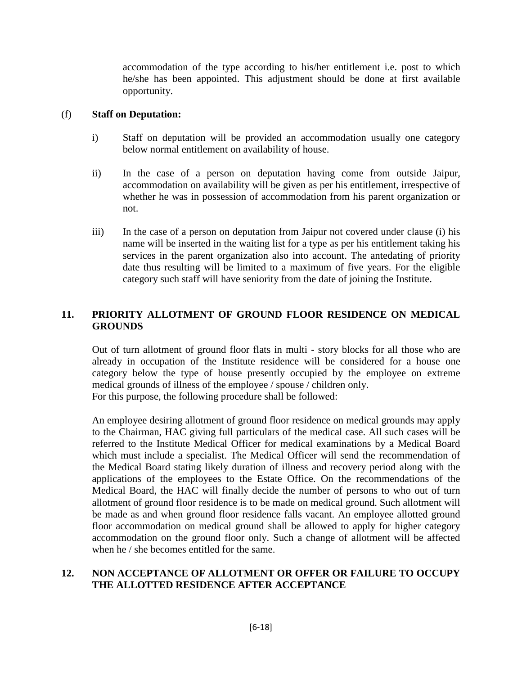accommodation of the type according to his/her entitlement i.e. post to which he/she has been appointed. This adjustment should be done at first available opportunity.

#### (f) **Staff on Deputation:**

- i) Staff on deputation will be provided an accommodation usually one category below normal entitlement on availability of house.
- ii) In the case of a person on deputation having come from outside Jaipur, accommodation on availability will be given as per his entitlement, irrespective of whether he was in possession of accommodation from his parent organization or not.
- iii) In the case of a person on deputation from Jaipur not covered under clause (i) his name will be inserted in the waiting list for a type as per his entitlement taking his services in the parent organization also into account. The antedating of priority date thus resulting will be limited to a maximum of five years. For the eligible category such staff will have seniority from the date of joining the Institute.

# **11. PRIORITY ALLOTMENT OF GROUND FLOOR RESIDENCE ON MEDICAL GROUNDS**

Out of turn allotment of ground floor flats in multi - story blocks for all those who are already in occupation of the Institute residence will be considered for a house one category below the type of house presently occupied by the employee on extreme medical grounds of illness of the employee / spouse / children only. For this purpose, the following procedure shall be followed:

An employee desiring allotment of ground floor residence on medical grounds may apply to the Chairman, HAC giving full particulars of the medical case. All such cases will be referred to the Institute Medical Officer for medical examinations by a Medical Board which must include a specialist. The Medical Officer will send the recommendation of the Medical Board stating likely duration of illness and recovery period along with the applications of the employees to the Estate Office. On the recommendations of the Medical Board, the HAC will finally decide the number of persons to who out of turn allotment of ground floor residence is to be made on medical ground. Such allotment will be made as and when ground floor residence falls vacant. An employee allotted ground floor accommodation on medical ground shall be allowed to apply for higher category accommodation on the ground floor only. Such a change of allotment will be affected when he / she becomes entitled for the same.

### **12. NON ACCEPTANCE OF ALLOTMENT OR OFFER OR FAILURE TO OCCUPY THE ALLOTTED RESIDENCE AFTER ACCEPTANCE**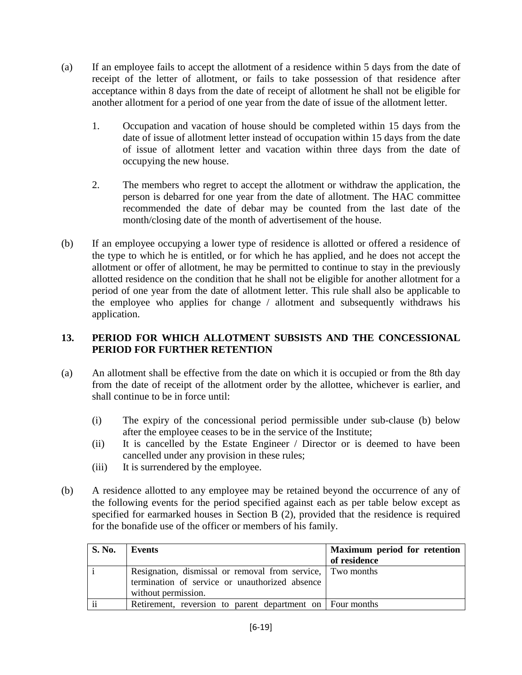- (a) If an employee fails to accept the allotment of a residence within 5 days from the date of receipt of the letter of allotment, or fails to take possession of that residence after acceptance within 8 days from the date of receipt of allotment he shall not be eligible for another allotment for a period of one year from the date of issue of the allotment letter.
	- 1. Occupation and vacation of house should be completed within 15 days from the date of issue of allotment letter instead of occupation within 15 days from the date of issue of allotment letter and vacation within three days from the date of occupying the new house.
	- 2. The members who regret to accept the allotment or withdraw the application, the person is debarred for one year from the date of allotment. The HAC committee recommended the date of debar may be counted from the last date of the month/closing date of the month of advertisement of the house.
- (b) If an employee occupying a lower type of residence is allotted or offered a residence of the type to which he is entitled, or for which he has applied, and he does not accept the allotment or offer of allotment, he may be permitted to continue to stay in the previously allotted residence on the condition that he shall not be eligible for another allotment for a period of one year from the date of allotment letter. This rule shall also be applicable to the employee who applies for change / allotment and subsequently withdraws his application.

# **13. PERIOD FOR WHICH ALLOTMENT SUBSISTS AND THE CONCESSIONAL PERIOD FOR FURTHER RETENTION**

- (a) An allotment shall be effective from the date on which it is occupied or from the 8th day from the date of receipt of the allotment order by the allottee, whichever is earlier, and shall continue to be in force until:
	- (i) The expiry of the concessional period permissible under sub-clause (b) below after the employee ceases to be in the service of the Institute;
	- (ii) It is cancelled by the Estate Engineer / Director or is deemed to have been cancelled under any provision in these rules;
	- (iii) It is surrendered by the employee.
- (b) A residence allotted to any employee may be retained beyond the occurrence of any of the following events for the period specified against each as per table below except as specified for earmarked houses in Section B (2), provided that the residence is required for the bonafide use of the officer or members of his family.

| <b>S. No.</b> | Events                                                                                                                              | Maximum period for retention<br>of residence |
|---------------|-------------------------------------------------------------------------------------------------------------------------------------|----------------------------------------------|
|               | Resignation, dismissal or removal from service, Two months<br>termination of service or unauthorized absence<br>without permission. |                                              |
| $\cdot \cdot$ | Retirement, reversion to parent department on Four months                                                                           |                                              |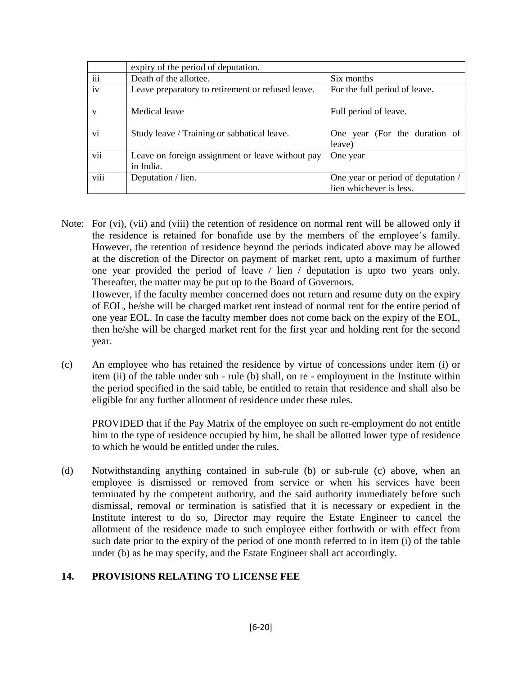|                 | expiry of the period of deputation.                           |                                         |
|-----------------|---------------------------------------------------------------|-----------------------------------------|
| $\cdots$<br>111 | Death of the allottee.                                        | Six months                              |
| iv              | Leave preparatory to retirement or refused leave.             | For the full period of leave.           |
| $\mathbf{V}$    | Medical leave                                                 | Full period of leave.                   |
| vi              | Study leave / Training or sabbatical leave.                   | One year (For the duration of<br>leave) |
| vii             | Leave on foreign assignment or leave without pay<br>in India. | One year                                |
| viii            | Deputation / lien.                                            | One year or period of deputation /      |
|                 |                                                               | lien whichever is less.                 |

Note: For (vi), (vii) and (viii) the retention of residence on normal rent will be allowed only if the residence is retained for bonafide use by the members of the employee's family. However, the retention of residence beyond the periods indicated above may be allowed at the discretion of the Director on payment of market rent, upto a maximum of further one year provided the period of leave / lien / deputation is upto two years only. Thereafter, the matter may be put up to the Board of Governors.

However, if the faculty member concerned does not return and resume duty on the expiry of EOL, he/she will be charged market rent instead of normal rent for the entire period of one year EOL. In case the faculty member does not come back on the expiry of the EOL, then he/she will be charged market rent for the first year and holding rent for the second year.

(c) An employee who has retained the residence by virtue of concessions under item (i) or item (ii) of the table under sub - rule (b) shall, on re - employment in the Institute within the period specified in the said table, be entitled to retain that residence and shall also be eligible for any further allotment of residence under these rules.

PROVIDED that if the Pay Matrix of the employee on such re-employment do not entitle him to the type of residence occupied by him, he shall be allotted lower type of residence to which he would be entitled under the rules.

(d) Notwithstanding anything contained in sub-rule (b) or sub-rule (c) above, when an employee is dismissed or removed from service or when his services have been terminated by the competent authority, and the said authority immediately before such dismissal, removal or termination is satisfied that it is necessary or expedient in the Institute interest to do so, Director may require the Estate Engineer to cancel the allotment of the residence made to such employee either forthwith or with effect from such date prior to the expiry of the period of one month referred to in item (i) of the table under (b) as he may specify, and the Estate Engineer shall act accordingly.

# **14. PROVISIONS RELATING TO LICENSE FEE**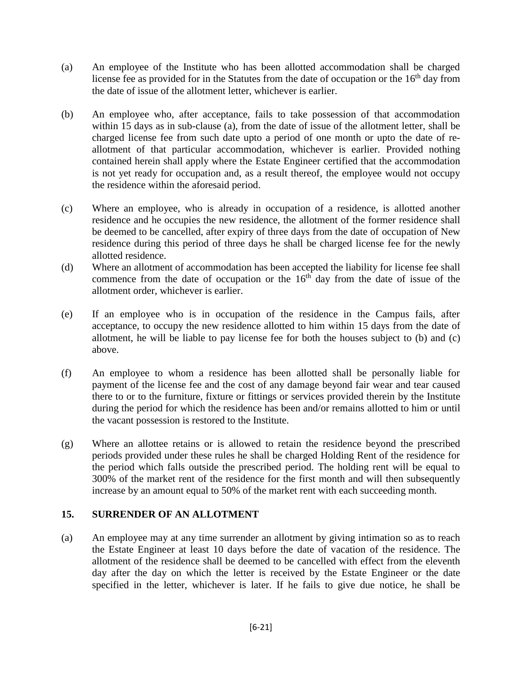- (a) An employee of the Institute who has been allotted accommodation shall be charged license fee as provided for in the Statutes from the date of occupation or the  $16<sup>th</sup>$  day from the date of issue of the allotment letter, whichever is earlier.
- (b) An employee who, after acceptance, fails to take possession of that accommodation within 15 days as in sub-clause (a), from the date of issue of the allotment letter, shall be charged license fee from such date upto a period of one month or upto the date of reallotment of that particular accommodation, whichever is earlier. Provided nothing contained herein shall apply where the Estate Engineer certified that the accommodation is not yet ready for occupation and, as a result thereof, the employee would not occupy the residence within the aforesaid period.
- (c) Where an employee, who is already in occupation of a residence, is allotted another residence and he occupies the new residence, the allotment of the former residence shall be deemed to be cancelled, after expiry of three days from the date of occupation of New residence during this period of three days he shall be charged license fee for the newly allotted residence.
- (d) Where an allotment of accommodation has been accepted the liability for license fee shall commence from the date of occupation or the  $16<sup>th</sup>$  day from the date of issue of the allotment order, whichever is earlier.
- (e) If an employee who is in occupation of the residence in the Campus fails, after acceptance, to occupy the new residence allotted to him within 15 days from the date of allotment, he will be liable to pay license fee for both the houses subject to (b) and (c) above.
- (f) An employee to whom a residence has been allotted shall be personally liable for payment of the license fee and the cost of any damage beyond fair wear and tear caused there to or to the furniture, fixture or fittings or services provided therein by the Institute during the period for which the residence has been and/or remains allotted to him or until the vacant possession is restored to the Institute.
- (g) Where an allottee retains or is allowed to retain the residence beyond the prescribed periods provided under these rules he shall be charged Holding Rent of the residence for the period which falls outside the prescribed period. The holding rent will be equal to 300% of the market rent of the residence for the first month and will then subsequently increase by an amount equal to 50% of the market rent with each succeeding month.

# **15. SURRENDER OF AN ALLOTMENT**

(a) An employee may at any time surrender an allotment by giving intimation so as to reach the Estate Engineer at least 10 days before the date of vacation of the residence. The allotment of the residence shall be deemed to be cancelled with effect from the eleventh day after the day on which the letter is received by the Estate Engineer or the date specified in the letter, whichever is later. If he fails to give due notice, he shall be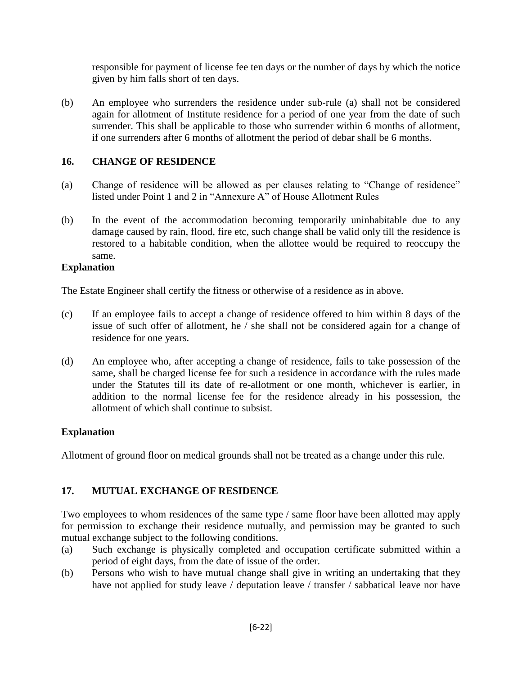responsible for payment of license fee ten days or the number of days by which the notice given by him falls short of ten days.

(b) An employee who surrenders the residence under sub-rule (a) shall not be considered again for allotment of Institute residence for a period of one year from the date of such surrender. This shall be applicable to those who surrender within 6 months of allotment, if one surrenders after 6 months of allotment the period of debar shall be 6 months.

# **16. CHANGE OF RESIDENCE**

- (a) Change of residence will be allowed as per clauses relating to "Change of residence" listed under Point 1 and 2 in "Annexure A" of House Allotment Rules
- (b) In the event of the accommodation becoming temporarily uninhabitable due to any damage caused by rain, flood, fire etc, such change shall be valid only till the residence is restored to a habitable condition, when the allottee would be required to reoccupy the same.

# **Explanation**

The Estate Engineer shall certify the fitness or otherwise of a residence as in above.

- (c) If an employee fails to accept a change of residence offered to him within 8 days of the issue of such offer of allotment, he / she shall not be considered again for a change of residence for one years.
- (d) An employee who, after accepting a change of residence, fails to take possession of the same, shall be charged license fee for such a residence in accordance with the rules made under the Statutes till its date of re-allotment or one month, whichever is earlier, in addition to the normal license fee for the residence already in his possession, the allotment of which shall continue to subsist.

# **Explanation**

Allotment of ground floor on medical grounds shall not be treated as a change under this rule.

# **17. MUTUAL EXCHANGE OF RESIDENCE**

Two employees to whom residences of the same type / same floor have been allotted may apply for permission to exchange their residence mutually, and permission may be granted to such mutual exchange subject to the following conditions.

- (a) Such exchange is physically completed and occupation certificate submitted within a period of eight days, from the date of issue of the order.
- (b) Persons who wish to have mutual change shall give in writing an undertaking that they have not applied for study leave / deputation leave / transfer / sabbatical leave nor have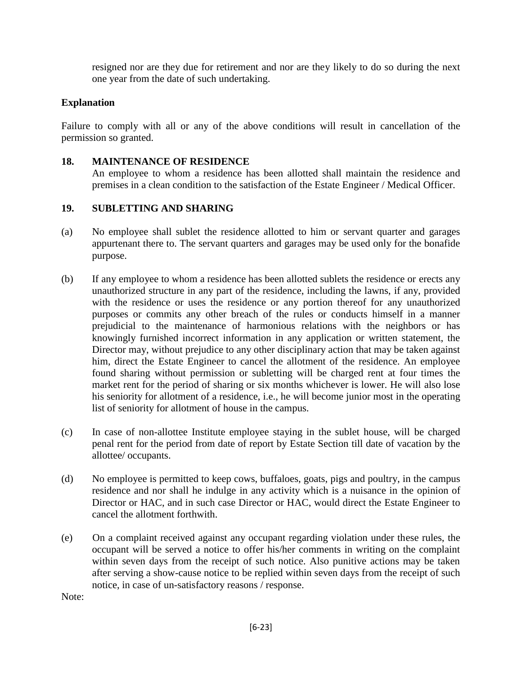resigned nor are they due for retirement and nor are they likely to do so during the next one year from the date of such undertaking.

# **Explanation**

Failure to comply with all or any of the above conditions will result in cancellation of the permission so granted.

#### **18. MAINTENANCE OF RESIDENCE**

An employee to whom a residence has been allotted shall maintain the residence and premises in a clean condition to the satisfaction of the Estate Engineer / Medical Officer.

### **19. SUBLETTING AND SHARING**

- (a) No employee shall sublet the residence allotted to him or servant quarter and garages appurtenant there to. The servant quarters and garages may be used only for the bonafide purpose.
- (b) If any employee to whom a residence has been allotted sublets the residence or erects any unauthorized structure in any part of the residence, including the lawns, if any, provided with the residence or uses the residence or any portion thereof for any unauthorized purposes or commits any other breach of the rules or conducts himself in a manner prejudicial to the maintenance of harmonious relations with the neighbors or has knowingly furnished incorrect information in any application or written statement, the Director may, without prejudice to any other disciplinary action that may be taken against him, direct the Estate Engineer to cancel the allotment of the residence. An employee found sharing without permission or subletting will be charged rent at four times the market rent for the period of sharing or six months whichever is lower. He will also lose his seniority for allotment of a residence, i.e., he will become junior most in the operating list of seniority for allotment of house in the campus.
- (c) In case of non-allottee Institute employee staying in the sublet house, will be charged penal rent for the period from date of report by Estate Section till date of vacation by the allottee/ occupants.
- (d) No employee is permitted to keep cows, buffaloes, goats, pigs and poultry, in the campus residence and nor shall he indulge in any activity which is a nuisance in the opinion of Director or HAC, and in such case Director or HAC, would direct the Estate Engineer to cancel the allotment forthwith.
- (e) On a complaint received against any occupant regarding violation under these rules, the occupant will be served a notice to offer his/her comments in writing on the complaint within seven days from the receipt of such notice. Also punitive actions may be taken after serving a show-cause notice to be replied within seven days from the receipt of such notice, in case of un-satisfactory reasons / response.

Note: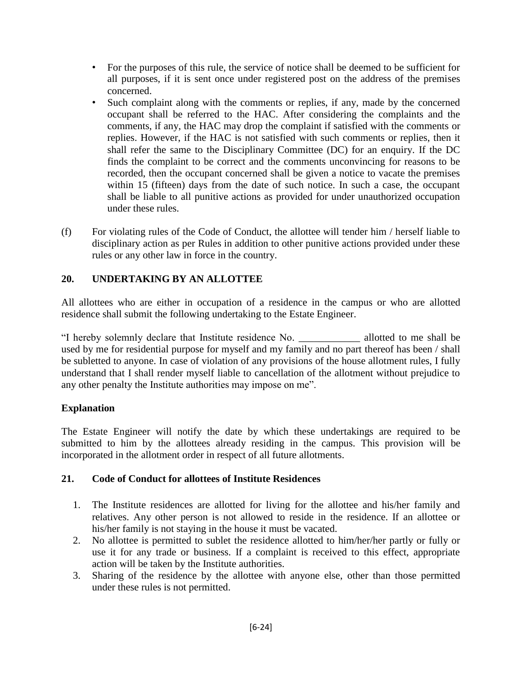- For the purposes of this rule, the service of notice shall be deemed to be sufficient for all purposes, if it is sent once under registered post on the address of the premises concerned.
- Such complaint along with the comments or replies, if any, made by the concerned occupant shall be referred to the HAC. After considering the complaints and the comments, if any, the HAC may drop the complaint if satisfied with the comments or replies. However, if the HAC is not satisfied with such comments or replies, then it shall refer the same to the Disciplinary Committee (DC) for an enquiry. If the DC finds the complaint to be correct and the comments unconvincing for reasons to be recorded, then the occupant concerned shall be given a notice to vacate the premises within 15 (fifteen) days from the date of such notice. In such a case, the occupant shall be liable to all punitive actions as provided for under unauthorized occupation under these rules.
- (f) For violating rules of the Code of Conduct, the allottee will tender him / herself liable to disciplinary action as per Rules in addition to other punitive actions provided under these rules or any other law in force in the country.

# **20. UNDERTAKING BY AN ALLOTTEE**

All allottees who are either in occupation of a residence in the campus or who are allotted residence shall submit the following undertaking to the Estate Engineer.

"I hereby solemnly declare that Institute residence No. \_\_\_\_\_\_\_\_\_\_\_\_ allotted to me shall be used by me for residential purpose for myself and my family and no part thereof has been / shall be subletted to anyone. In case of violation of any provisions of the house allotment rules, I fully understand that I shall render myself liable to cancellation of the allotment without prejudice to any other penalty the Institute authorities may impose on me".

# **Explanation**

The Estate Engineer will notify the date by which these undertakings are required to be submitted to him by the allottees already residing in the campus. This provision will be incorporated in the allotment order in respect of all future allotments.

# **21. Code of Conduct for allottees of Institute Residences**

- 1. The Institute residences are allotted for living for the allottee and his/her family and relatives. Any other person is not allowed to reside in the residence. If an allottee or his/her family is not staying in the house it must be vacated.
- 2. No allottee is permitted to sublet the residence allotted to him/her/her partly or fully or use it for any trade or business. If a complaint is received to this effect, appropriate action will be taken by the Institute authorities.
- 3. Sharing of the residence by the allottee with anyone else, other than those permitted under these rules is not permitted.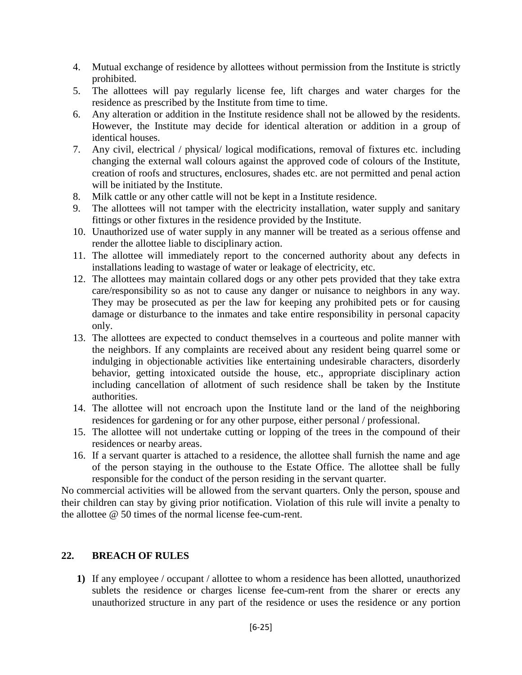- 4. Mutual exchange of residence by allottees without permission from the Institute is strictly prohibited.
- 5. The allottees will pay regularly license fee, lift charges and water charges for the residence as prescribed by the Institute from time to time.
- 6. Any alteration or addition in the Institute residence shall not be allowed by the residents. However, the Institute may decide for identical alteration or addition in a group of identical houses.
- 7. Any civil, electrical / physical/ logical modifications, removal of fixtures etc. including changing the external wall colours against the approved code of colours of the Institute, creation of roofs and structures, enclosures, shades etc. are not permitted and penal action will be initiated by the Institute.
- 8. Milk cattle or any other cattle will not be kept in a Institute residence.
- 9. The allottees will not tamper with the electricity installation, water supply and sanitary fittings or other fixtures in the residence provided by the Institute.
- 10. Unauthorized use of water supply in any manner will be treated as a serious offense and render the allottee liable to disciplinary action.
- 11. The allottee will immediately report to the concerned authority about any defects in installations leading to wastage of water or leakage of electricity, etc.
- 12. The allottees may maintain collared dogs or any other pets provided that they take extra care/responsibility so as not to cause any danger or nuisance to neighbors in any way. They may be prosecuted as per the law for keeping any prohibited pets or for causing damage or disturbance to the inmates and take entire responsibility in personal capacity only.
- 13. The allottees are expected to conduct themselves in a courteous and polite manner with the neighbors. If any complaints are received about any resident being quarrel some or indulging in objectionable activities like entertaining undesirable characters, disorderly behavior, getting intoxicated outside the house, etc., appropriate disciplinary action including cancellation of allotment of such residence shall be taken by the Institute authorities.
- 14. The allottee will not encroach upon the Institute land or the land of the neighboring residences for gardening or for any other purpose, either personal / professional.
- 15. The allottee will not undertake cutting or lopping of the trees in the compound of their residences or nearby areas.
- 16. If a servant quarter is attached to a residence, the allottee shall furnish the name and age of the person staying in the outhouse to the Estate Office. The allottee shall be fully responsible for the conduct of the person residing in the servant quarter.

No commercial activities will be allowed from the servant quarters. Only the person, spouse and their children can stay by giving prior notification. Violation of this rule will invite a penalty to the allottee @ 50 times of the normal license fee-cum-rent.

# **22. BREACH OF RULES**

**1)** If any employee / occupant / allottee to whom a residence has been allotted, unauthorized sublets the residence or charges license fee-cum-rent from the sharer or erects any unauthorized structure in any part of the residence or uses the residence or any portion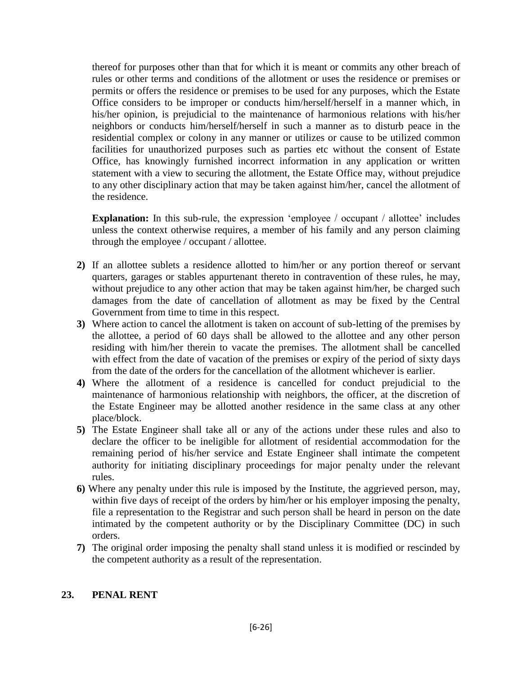thereof for purposes other than that for which it is meant or commits any other breach of rules or other terms and conditions of the allotment or uses the residence or premises or permits or offers the residence or premises to be used for any purposes, which the Estate Office considers to be improper or conducts him/herself/herself in a manner which, in his/her opinion, is prejudicial to the maintenance of harmonious relations with his/her neighbors or conducts him/herself/herself in such a manner as to disturb peace in the residential complex or colony in any manner or utilizes or cause to be utilized common facilities for unauthorized purposes such as parties etc without the consent of Estate Office, has knowingly furnished incorrect information in any application or written statement with a view to securing the allotment, the Estate Office may, without prejudice to any other disciplinary action that may be taken against him/her, cancel the allotment of the residence.

**Explanation:** In this sub-rule, the expression 'employee / occupant / allottee' includes unless the context otherwise requires, a member of his family and any person claiming through the employee / occupant / allottee.

- **2)** If an allottee sublets a residence allotted to him/her or any portion thereof or servant quarters, garages or stables appurtenant thereto in contravention of these rules, he may, without prejudice to any other action that may be taken against him/her, be charged such damages from the date of cancellation of allotment as may be fixed by the Central Government from time to time in this respect.
- **3)** Where action to cancel the allotment is taken on account of sub-letting of the premises by the allottee, a period of 60 days shall be allowed to the allottee and any other person residing with him/her therein to vacate the premises. The allotment shall be cancelled with effect from the date of vacation of the premises or expiry of the period of sixty days from the date of the orders for the cancellation of the allotment whichever is earlier.
- **4)** Where the allotment of a residence is cancelled for conduct prejudicial to the maintenance of harmonious relationship with neighbors, the officer, at the discretion of the Estate Engineer may be allotted another residence in the same class at any other place/block.
- **5)** The Estate Engineer shall take all or any of the actions under these rules and also to declare the officer to be ineligible for allotment of residential accommodation for the remaining period of his/her service and Estate Engineer shall intimate the competent authority for initiating disciplinary proceedings for major penalty under the relevant rules.
- **6)** Where any penalty under this rule is imposed by the Institute, the aggrieved person, may, within five days of receipt of the orders by him/her or his employer imposing the penalty, file a representation to the Registrar and such person shall be heard in person on the date intimated by the competent authority or by the Disciplinary Committee (DC) in such orders.
- **7)** The original order imposing the penalty shall stand unless it is modified or rescinded by the competent authority as a result of the representation.

# **23. PENAL RENT**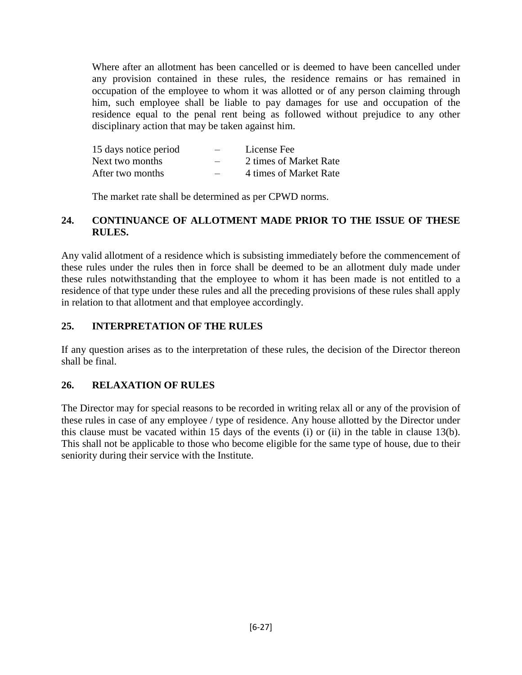Where after an allotment has been cancelled or is deemed to have been cancelled under any provision contained in these rules, the residence remains or has remained in occupation of the employee to whom it was allotted or of any person claiming through him, such employee shall be liable to pay damages for use and occupation of the residence equal to the penal rent being as followed without prejudice to any other disciplinary action that may be taken against him.

| 15 days notice period | $\overline{\phantom{0}}$ | License Fee            |
|-----------------------|--------------------------|------------------------|
| Next two months       | $\overline{\phantom{0}}$ | 2 times of Market Rate |
| After two months      |                          | 4 times of Market Rate |

The market rate shall be determined as per CPWD norms.

# **24. CONTINUANCE OF ALLOTMENT MADE PRIOR TO THE ISSUE OF THESE RULES.**

Any valid allotment of a residence which is subsisting immediately before the commencement of these rules under the rules then in force shall be deemed to be an allotment duly made under these rules notwithstanding that the employee to whom it has been made is not entitled to a residence of that type under these rules and all the preceding provisions of these rules shall apply in relation to that allotment and that employee accordingly.

# **25. INTERPRETATION OF THE RULES**

If any question arises as to the interpretation of these rules, the decision of the Director thereon shall be final.

# **26. RELAXATION OF RULES**

The Director may for special reasons to be recorded in writing relax all or any of the provision of these rules in case of any employee / type of residence. Any house allotted by the Director under this clause must be vacated within 15 days of the events (i) or (ii) in the table in clause 13(b). This shall not be applicable to those who become eligible for the same type of house, due to their seniority during their service with the Institute.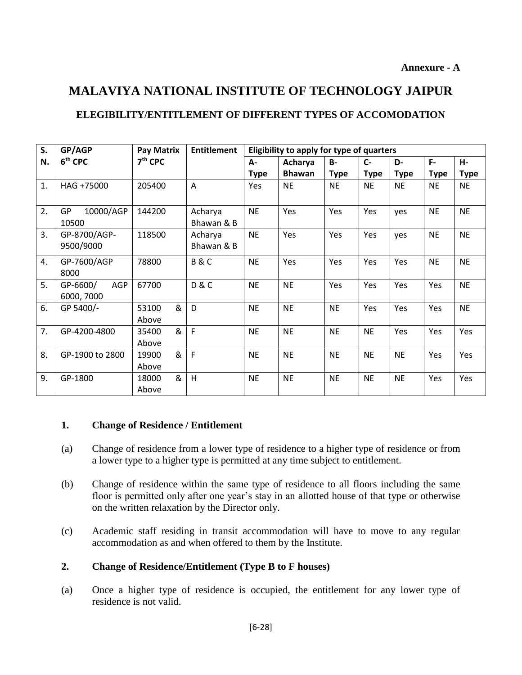# **MALAVIYA NATIONAL INSTITUTE OF TECHNOLOGY JAIPUR**

# **ELEGIBILITY/ENTITLEMENT OF DIFFERENT TYPES OF ACCOMODATION**

| S. | GP/AGP                          | Pay Matrix          | <b>Entitlement</b>    | Eligibility to apply for type of quarters |               |             |             |             |             |             |
|----|---------------------------------|---------------------|-----------------------|-------------------------------------------|---------------|-------------|-------------|-------------|-------------|-------------|
| N. | 6 <sup>th</sup> CPC             | $7th$ CPC           |                       | А-                                        | Acharya       | <b>B-</b>   | $C -$       | D-          | $F -$       | Н-          |
|    |                                 |                     |                       | <b>Type</b>                               | <b>Bhawan</b> | <b>Type</b> | <b>Type</b> | <b>Type</b> | <b>Type</b> | <b>Type</b> |
| 1. | HAG +75000                      | 205400              | A                     | Yes                                       | <b>NE</b>     | <b>NE</b>   | <b>NE</b>   | <b>NE</b>   | <b>NE</b>   | <b>NE</b>   |
| 2. | 10000/AGP<br><b>GP</b><br>10500 | 144200              | Acharya<br>Bhawan & B | <b>NE</b>                                 | Yes           | Yes         | Yes         | yes         | <b>NE</b>   | <b>NE</b>   |
| 3. | GP-8700/AGP-<br>9500/9000       | 118500              | Acharya<br>Bhawan & B | <b>NE</b>                                 | Yes           | Yes         | Yes         | yes         | <b>NE</b>   | <b>NE</b>   |
| 4. | GP-7600/AGP<br>8000             | 78800               | <b>B&amp;C</b>        | <b>NE</b>                                 | Yes           | Yes         | Yes         | Yes         | <b>NE</b>   | <b>NE</b>   |
| 5. | AGP<br>GP-6600/<br>6000, 7000   | 67700               | <b>D&amp;C</b>        | <b>NE</b>                                 | <b>NE</b>     | Yes         | Yes         | Yes         | Yes         | <b>NE</b>   |
| 6. | GP 5400/-                       | &<br>53100<br>Above | D                     | <b>NE</b>                                 | <b>NE</b>     | <b>NE</b>   | Yes         | Yes         | Yes         | <b>NE</b>   |
| 7. | GP-4200-4800                    | &<br>35400<br>Above | F                     | <b>NE</b>                                 | <b>NE</b>     | <b>NE</b>   | <b>NE</b>   | Yes         | Yes         | <b>Yes</b>  |
| 8. | GP-1900 to 2800                 | &<br>19900<br>Above | $\mathsf{F}$          | <b>NE</b>                                 | <b>NE</b>     | <b>NE</b>   | <b>NE</b>   | <b>NE</b>   | Yes         | Yes         |
| 9. | GP-1800                         | &<br>18000<br>Above | H                     | <b>NE</b>                                 | <b>NE</b>     | <b>NE</b>   | <b>NE</b>   | <b>NE</b>   | Yes         | <b>Yes</b>  |

# **1. Change of Residence / Entitlement**

- (a) Change of residence from a lower type of residence to a higher type of residence or from a lower type to a higher type is permitted at any time subject to entitlement.
- (b) Change of residence within the same type of residence to all floors including the same floor is permitted only after one year's stay in an allotted house of that type or otherwise on the written relaxation by the Director only.
- (c) Academic staff residing in transit accommodation will have to move to any regular accommodation as and when offered to them by the Institute.

# **2. Change of Residence/Entitlement (Type B to F houses)**

(a) Once a higher type of residence is occupied, the entitlement for any lower type of residence is not valid.